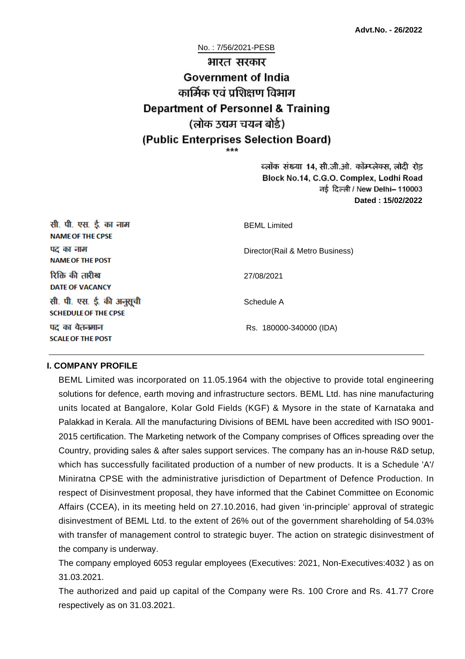No. : 7/56/2021-PESB

# भारत सरकार **Government of India** कार्मिक एवं पशिक्षण विभाग **Department of Personnel & Training** (लोक उद्यम चयन बोर्ड) (Public Enterprises Selection Board)

ब्लॉक संख्या 14, सी.जी.ओ. कॉम्प्लेक्स, लोदी रोड Block No.14, C.G.O. Complex, Lodhi Road ਰई दिल्ली / New Delhi– 110003 **Dated : 15/02/2022**

| सी. पी. एस. ई. का नाम<br><b>NAME OF THE CPSE</b>         | <b>BEML Limited</b>              |
|----------------------------------------------------------|----------------------------------|
| पद का नाम<br><b>NAME OF THE POST</b>                     | Director (Rail & Metro Business) |
| रिक्ति की तारीख<br><b>DATE OF VACANCY</b>                | 27/08/2021                       |
| सी. पी. एस. ई. की अनुसूची<br><b>SCHEDULE OF THE CPSE</b> | Schedule A                       |
| पद का वेतनमान<br><b>SCALE OF THE POST</b>                | Rs. 180000-340000 (IDA)          |

#### **I. COMPANY PROFILE**

BEML Limited was incorporated on 11.05.1964 with the objective to provide total engineering solutions for defence, earth moving and infrastructure sectors. BEML Ltd. has nine manufacturing units located at Bangalore, Kolar Gold Fields (KGF) & Mysore in the state of Karnataka and Palakkad in Kerala. All the manufacturing Divisions of BEML have been accredited with ISO 9001- 2015 certification. The Marketing network of the Company comprises of Offices spreading over the Country, providing sales & after sales support services. The company has an in-house R&D setup, which has successfully facilitated production of a number of new products. It is a Schedule 'A'/ Miniratna CPSE with the administrative jurisdiction of Department of Defence Production. In respect of Disinvestment proposal, they have informed that the Cabinet Committee on Economic Affairs (CCEA), in its meeting held on 27.10.2016, had given 'in-principle' approval of strategic disinvestment of BEML Ltd. to the extent of 26% out of the government shareholding of 54.03% with transfer of management control to strategic buyer. The action on strategic disinvestment of the company is underway.

The company employed 6053 regular employees (Executives: 2021, Non-Executives:4032 ) as on 31.03.2021.

The authorized and paid up capital of the Company were Rs. 100 Crore and Rs. 41.77 Crore respectively as on 31.03.2021.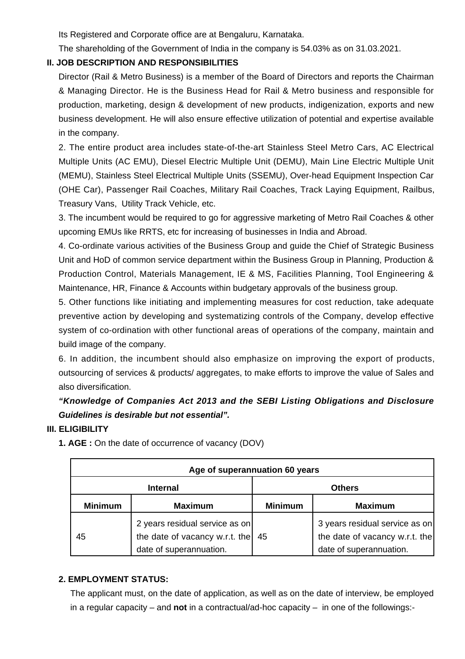Its Registered and Corporate office are at Bengaluru, Karnataka.

The shareholding of the Government of India in the company is 54.03% as on 31.03.2021.

#### **II. JOB DESCRIPTION AND RESPONSIBILITIES**

Director (Rail & Metro Business) is a member of the Board of Directors and reports the Chairman & Managing Director. He is the Business Head for Rail & Metro business and responsible for production, marketing, design & development of new products, indigenization, exports and new business development. He will also ensure effective utilization of potential and expertise available in the company.

2. The entire product area includes state-of-the-art Stainless Steel Metro Cars, AC Electrical Multiple Units (AC EMU), Diesel Electric Multiple Unit (DEMU), Main Line Electric Multiple Unit (MEMU), Stainless Steel Electrical Multiple Units (SSEMU), Over-head Equipment Inspection Car (OHE Car), Passenger Rail Coaches, Military Rail Coaches, Track Laying Equipment, Railbus, Treasury Vans, Utility Track Vehicle, etc.

3. The incumbent would be required to go for aggressive marketing of Metro Rail Coaches & other upcoming EMUs like RRTS, etc for increasing of businesses in India and Abroad.

4. Co-ordinate various activities of the Business Group and guide the Chief of Strategic Business Unit and HoD of common service department within the Business Group in Planning, Production & Production Control, Materials Management, IE & MS, Facilities Planning, Tool Engineering & Maintenance, HR, Finance & Accounts within budgetary approvals of the business group.

5. Other functions like initiating and implementing measures for cost reduction, take adequate preventive action by developing and systematizing controls of the Company, develop effective system of co-ordination with other functional areas of operations of the company, maintain and build image of the company.

6. In addition, the incumbent should also emphasize on improving the export of products, outsourcing of services & products/ aggregates, to make efforts to improve the value of Sales and also diversification.

# **"Knowledge of Companies Act 2013 and the SEBI Listing Obligations and Disclosure Guidelines is desirable but not essential".**

#### **III. ELIGIBILITY**

| Age of superannuation 60 years |                                                                                             |                |                                                                                             |
|--------------------------------|---------------------------------------------------------------------------------------------|----------------|---------------------------------------------------------------------------------------------|
| <b>Internal</b>                |                                                                                             | <b>Others</b>  |                                                                                             |
| <b>Minimum</b>                 | <b>Maximum</b>                                                                              | <b>Minimum</b> | <b>Maximum</b>                                                                              |
| 45                             | 2 years residual service as on<br>the date of vacancy w.r.t. the<br>date of superannuation. | 45             | 3 years residual service as on<br>the date of vacancy w.r.t. the<br>date of superannuation. |

**1. AGE :** On the date of occurrence of vacancy (DOV)

#### **2. EMPLOYMENT STATUS:**

The applicant must, on the date of application, as well as on the date of interview, be employed in a regular capacity – and **not** in a contractual/ad-hoc capacity – in one of the followings:-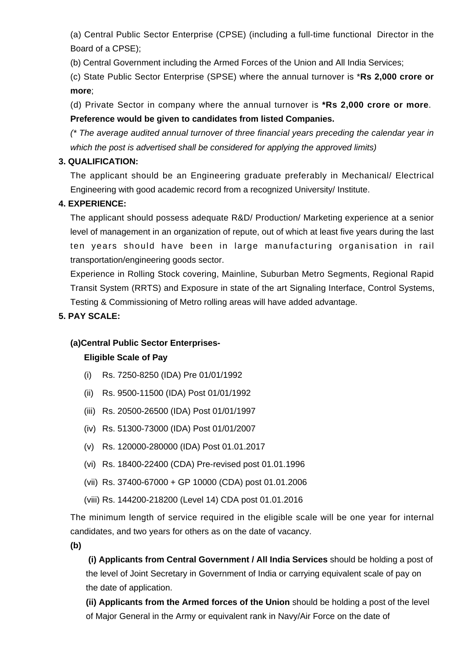(a) Central Public Sector Enterprise (CPSE) (including a full-time functional Director in the Board of a CPSE);

(b) Central Government including the Armed Forces of the Union and All India Services;

(c) State Public Sector Enterprise (SPSE) where the annual turnover is \***Rs 2,000 crore or more**;

(d) Private Sector in company where the annual turnover is **\*Rs 2,000 crore or more**. **Preference would be given to candidates from listed Companies.**

(\* The average audited annual turnover of three financial years preceding the calendar year in which the post is advertised shall be considered for applying the approved limits)

## **3. QUALIFICATION:**

The applicant should be an Engineering graduate preferably in Mechanical/ Electrical Engineering with good academic record from a recognized University/ Institute.

# **4. EXPERIENCE:**

The applicant should possess adequate R&D/ Production/ Marketing experience at a senior level of management in an organization of repute, out of which at least five years during the last ten years should have been in large manufacturing organisation in rail transportation/engineering goods sector.

Experience in Rolling Stock covering, Mainline, Suburban Metro Segments, Regional Rapid Transit System (RRTS) and Exposure in state of the art Signaling Interface, Control Systems, Testing & Commissioning of Metro rolling areas will have added advantage.

# **5. PAY SCALE:**

## **(a)Central Public Sector Enterprises-**

## **Eligible Scale of Pay**

- (i) Rs. 7250-8250 (IDA) Pre 01/01/1992
- (ii) Rs. 9500-11500 (IDA) Post 01/01/1992
- (iii) Rs. 20500-26500 (IDA) Post 01/01/1997
- (iv) Rs. 51300-73000 (IDA) Post 01/01/2007
- (v) Rs. 120000-280000 (IDA) Post 01.01.2017
- (vi) Rs. 18400-22400 (CDA) Pre-revised post 01.01.1996
- (vii) Rs. 37400-67000 + GP 10000 (CDA) post 01.01.2006
- (viii) Rs. 144200-218200 (Level 14) CDA post 01.01.2016

The minimum length of service required in the eligible scale will be one year for internal candidates, and two years for others as on the date of vacancy.

**(b)**

**(i) Applicants from Central Government / All India Services** should be holding a post of the level of Joint Secretary in Government of India or carrying equivalent scale of pay on the date of application.

**(ii) Applicants from the Armed forces of the Union** should be holding a post of the level of Major General in the Army or equivalent rank in Navy/Air Force on the date of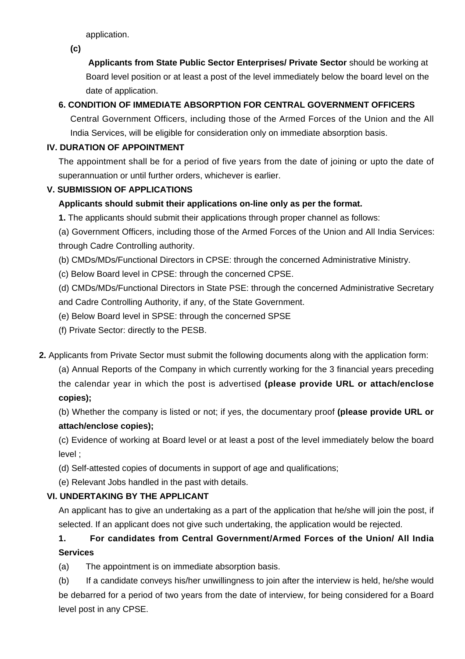application.

**(c)**

 **Applicants from State Public Sector Enterprises/ Private Sector** should be working at Board level position or at least a post of the level immediately below the board level on the date of application.

# **6. CONDITION OF IMMEDIATE ABSORPTION FOR CENTRAL GOVERNMENT OFFICERS**

Central Government Officers, including those of the Armed Forces of the Union and the All India Services, will be eligible for consideration only on immediate absorption basis.

## **IV. DURATION OF APPOINTMENT**

The appointment shall be for a period of five years from the date of joining or upto the date of superannuation or until further orders, whichever is earlier.

## **V. SUBMISSION OF APPLICATIONS**

## **Applicants should submit their applications on-line only as per the format.**

**1.** The applicants should submit their applications through proper channel as follows:

(a) Government Officers, including those of the Armed Forces of the Union and All India Services: through Cadre Controlling authority.

- (b) CMDs/MDs/Functional Directors in CPSE: through the concerned Administrative Ministry.
- (c) Below Board level in CPSE: through the concerned CPSE.

(d) CMDs/MDs/Functional Directors in State PSE: through the concerned Administrative Secretary and Cadre Controlling Authority, if any, of the State Government.

- (e) Below Board level in SPSE: through the concerned SPSE
- (f) Private Sector: directly to the PESB.
- **2.** Applicants from Private Sector must submit the following documents along with the application form:

(a) Annual Reports of the Company in which currently working for the 3 financial years preceding the calendar year in which the post is advertised **(please provide URL or attach/enclose copies);**

(b) Whether the company is listed or not; if yes, the documentary proof **(please provide URL or attach/enclose copies);**

(c) Evidence of working at Board level or at least a post of the level immediately below the board level ;

- (d) Self-attested copies of documents in support of age and qualifications;
- (e) Relevant Jobs handled in the past with details.

## **VI. UNDERTAKING BY THE APPLICANT**

An applicant has to give an undertaking as a part of the application that he/she will join the post, if selected. If an applicant does not give such undertaking, the application would be rejected.

# **1. For candidates from Central Government/Armed Forces of the Union/ All India Services**

(a) The appointment is on immediate absorption basis.

(b) If a candidate conveys his/her unwillingness to join after the interview is held, he/she would be debarred for a period of two years from the date of interview, for being considered for a Board level post in any CPSE.